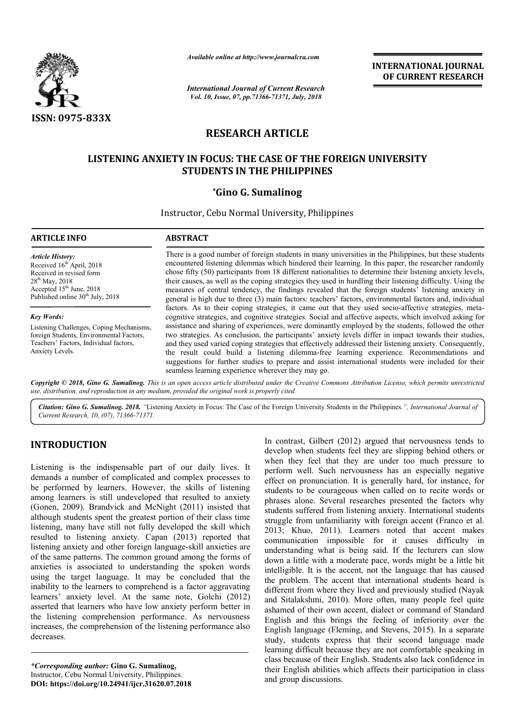

*Available online at http://www.journalcra.com*

*International Journal of Current Research Vol. 10, Issue, 07, pp.71366-71371, July, 2018*

**INTERNATIONAL JOURNAL OF CURRENT RESEARCH**

# **RESEARCH ARTICLE**

# LISTENING ANXIETY IN FOCUS: THE CASE OF THE FOREIGN UNIVERSITY **STUDENTS IN THE PHILIPPINES**

# **\*Gino G. Sumalinog**

Instructor, Cebu Normal University, Philippines

#### **ARTICLE INFO ABSTRACT**

*Article History:* Received 16<sup>th</sup> April, 2018 Received in revised form 28<sup>th</sup> May, 2018 Accepted 15<sup>th</sup> June, 2018 Published online  $30<sup>th</sup>$  July, 2018

#### *Key Words:*

Listening Challenges, Coping Mechanisms, foreign Students, Environmental Factors, Teachers' Factors, Individual factors, Anxiety Levels.

There is a good number of foreign students in many universities in the Philippines, but these students There is a good number of foreign students in many universities in the Philippines, but these students encountered listening dilemmas which hindered their learning. In this paper, the researcher randomly chose fifty (50) participants from 18 different nationalities to determine their listening anxiety levels, their causes, as well as the coping strategies they used in hurdling their listening difficulty. Using the measures of central tendency, the findings revealed that the foreign students' listening anxiety in general is high due to three (3) main factors: teachers' factors, environmental factors and, individual factors. As to their coping strategies, it came out that they used socio-affective strategies, metacognitive strategies, and cognitive strategies. Social and affective aspects, which involved asking for assistance and sharing of experiences, were dominantly employed by the students, followed the other two strategies. As conclusion, the participants' anxiety levels differ in impact towards their studies, and they used varied coping strategies that effectively addressed their listening anxiety. Consequently, the result could build a listening dilemma dilemma-free learning experience. Recommend suggestions for further studies to prepare and assist international students were included for their seamless learning experience wherever they may go. chose fifty (50) participants from 18 different nationalities to determine their listening anxiety levels, their causes, as well as the coping strategies they used in hurdling their listening difficulty. Using the measures cognitive strategies, and cognitive strategies. Social and affective aspects, which involved asking for assistance and sharing of experiences, were dominantly employed by the students, followed the other two strategies. As

Copyright © 2018, Gino G. Sumalinog. This is an open access article distributed under the Creative Commons Attribution License, which permits unrestricted *use, distribution, and reproduction in any medium, provided the original work is properly cited.*

*Citation: Gino G. Sumalinog. 2018. "*Listening Anxiety in Focus: The Case of the Foreign University Students in the Philippines *.", International Journal of Current Research, 10, (07), 71366-71371.*

# **INTRODUCTION**

Listening is the indispensable part of our daily lives. It demands a number of complicated and complex processes to be performed by learners. However, the skills of listening among learners is still undeveloped that resulted to anxiety (Gonen, 2009). Brandvick and McNight (2011) insisted that although students spent the greatest portion of their class time listening, many have still not fully developed the skill which resulted to listening anxiety. Capan (2013) reported that listening anxiety and other foreign language-skill anxieties are of the same patterns. The common ground among the forms of anxieties is associated to understanding the spoken words using the target language. It may be concluded that the inability to the learners to comprehend is a factor aggravating learners' anxiety level. At the same note, Golchi (2012) asserted that learners who have low anxiety perform better in the listening comprehension performance. As nervousness increases, the comprehension of the listening performance also decreases.

*\*Corresponding author:* **Gino G. Sumalinog,** Instructor, Cebu Normal University, Philippines. **DOI: https://doi.org/10.24941/ijcr.31620.07.2018**

In contrast, Gilbert (2012) argued that nervousness tends to<br>
when they feel that they are sulpring behind others or<br>
when they field that they are sulpring behind others or<br>
complex processes to<br>
the skills of listening s develop when students feel they are slipping behind others or when they feel that they are under too much pressure to perform well. Such nervousness has an especially negative effect on pronunciation. It is generally hard, for instance, for students to be courageous when called on to recite words or phrases alone. Several researches presented the factors why students suffered from listening anxiety. International students In contrast, Gilbert (2012) argued that nervousness tends to develop when students feel they are slipping behind others or when they feel that they are under too much pressure to perform well. Such nervousness has an espec 2013; Khuo, 2011). Learners noted that accent makes communication impossible for it causes difficulty in understanding what is being said. If the lecturers can slow down a little with a moderate pace, words might be a little bit intelligible. It is the accent, not the language that has caused the problem. The accent that international students heard is different from where they lived and previously studied (Nayak and Sitalakshmi, 2010). More often, many people feel quite ashamed of their own accent, dialect or command of Standard English and this brings the feeling of inferiority over the English language (Fleming, and Stevens, 2015). In a separate study, students express that their second language made learning difficult because they are not comfortable speaking in class because of their English. Students also lack confidence in their English abilities which affects their participation in class and group discussions. g what is being said. If the lecturers can slow<br>with a moderate pace, words might be a little bit<br>t is the accent, not the language that has caused the problem. The accent that international students heard is different from where they lived and previously studied (Nayak and Sitalakshmi, 2010). More often, many people feel quite ashamed of their own accent, dialect or that heir English. confidence English participation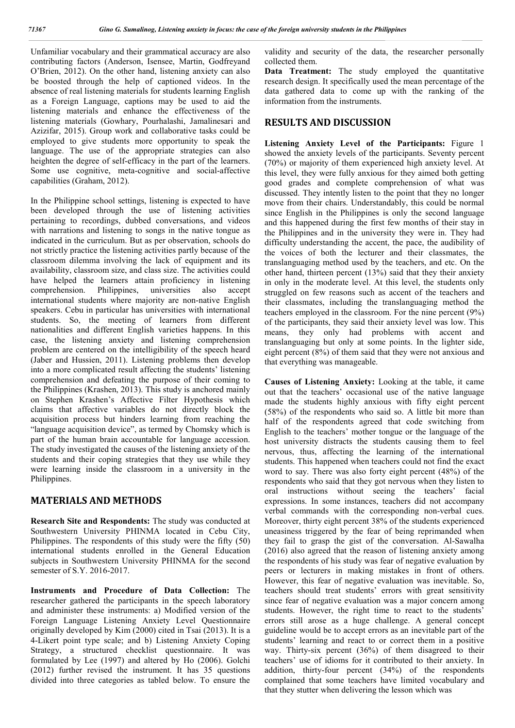Unfamiliar vocabulary and their grammatical accuracy are also contributing factors (Anderson, Isensee, Martin, Godfreyand O'Brien, 2012). On the other hand, listening anxiety can also be boosted through the help of captioned videos. In the absence of real listening materials for students learning English as a Foreign Language, captions may be used to aid the listening materials and enhance the effectiveness of the listening materials (Gowhary, Pourhalashi, Jamalinesari and Azizifar, 2015). Group work and collaborative tasks could be employed to give students more opportunity to speak the language. The use of the appropriate strategies can also heighten the degree of self-efficacy in the part of the learners. Some use cognitive, meta-cognitive and social-affective capabilities (Graham, 2012).

In the Philippine school settings, listening is expected to have been developed through the use of listening activities pertaining to recordings, dubbed conversations, and videos with narrations and listening to songs in the native tongue as indicated in the curriculum. But as per observation, schools do not strictly practice the listening activities partly because of the classroom dilemma involving the lack of equipment and its availability, classroom size, and class size. The activities could have helped the learners attain proficiency in listening comprehension. Philippines, universities also accept international students where majority are non-native English speakers. Cebu in particular has universities with international students. So, the meeting of learners from different nationalities and different English varieties happens. In this case, the listening anxiety and listening comprehension problem are centered on the intelligibility of the speech heard (Jaber and Hussien, 2011). Listening problems then develop into a more complicated result affecting the students' listening comprehension and defeating the purpose of their coming to the Philippines (Krashen, 2013). This study is anchored mainly on Stephen Krashen's Affective Filter Hypothesis which claims that affective variables do not directly block the acquisition process but hinders learning from reaching the "language acquisition device", as termed by Chomsky which is part of the human brain accountable for language accession. The study investigated the causes of the listening anxiety of the students and their coping strategies that they use while they were learning inside the classroom in a university in the Philippines.

## **MATERIALS AND METHODS**

**Research Site and Respondents:** The study was conducted at Southwestern University PHINMA located in Cebu City, Philippines. The respondents of this study were the fifty (50) international students enrolled in the General Education subjects in Southwestern University PHINMA for the second semester of S.Y. 2016-2017.

**Instruments and Procedure of Data Collection:** The researcher gathered the participants in the speech laboratory and administer these instruments: a) Modified version of the Foreign Language Listening Anxiety Level Questionnaire originally developed by Kim (2000) cited in Tsai (2013). It is a 4-Likert point type scale; and b) Listening Anxiety Coping Strategy, a structured checklist questionnaire. It was formulated by Lee (1997) and altered by Ho (2006). Golchi (2012) further revised the instrument. It has 35 questions divided into three categories as tabled below. To ensure the

validity and security of the data, the researcher personally collected them.

Data Treatment: The study employed the quantitative research design. It specifically used the mean percentage of the data gathered data to come up with the ranking of the information from the instruments.

# **RESULTS AND DISCUSSION**

**Listening Anxiety Level of the Participants:** Figure 1 showed the anxiety levels of the participants. Seventy percent (70%) or majority of them experienced high anxiety level. At this level, they were fully anxious for they aimed both getting good grades and complete comprehension of what was discussed. They intently listen to the point that they no longer move from their chairs. Understandably, this could be normal since English in the Philippines is only the second language and this happened during the first few months of their stay in the Philippines and in the university they were in. They had difficulty understanding the accent, the pace, the audibility of the voices of both the lecturer and their classmates, the translanguaging method used by the teachers, and etc. On the other hand, thirteen percent (13%) said that they their anxiety in only in the moderate level. At this level, the students only struggled on few reasons such as accent of the teachers and their classmates, including the translanguaging method the teachers employed in the classroom. For the nine percent (9%) of the participants, they said their anxiety level was low. This means, they only had problems with accent and translanguaging but only at some points. In the lighter side, eight percent (8%) of them said that they were not anxious and that everything was manageable.

**Causes of Listening Anxiety:** Looking at the table, it came out that the teachers' occasional use of the native language made the students highly anxious with fifty eight percent (58%) of the respondents who said so. A little bit more than half of the respondents agreed that code switching from English to the teachers' mother tongue or the language of the host university distracts the students causing them to feel nervous, thus, affecting the learning of the international students. This happened when teachers could not find the exact word to say. There was also forty eight percent (48%) of the respondents who said that they got nervous when they listen to oral instructions without seeing the teachers' facial expressions. In some instances, teachers did not accompany verbal commands with the corresponding non-verbal cues. Moreover, thirty eight percent 38% of the students experienced uneasiness triggered by the fear of being reprimanded when they fail to grasp the gist of the conversation. Al-Sawalha (2016) also agreed that the reason of listening anxiety among the respondents of his study was fear of negative evaluation by peers or lecturers in making mistakes in front of others. However, this fear of negative evaluation was inevitable. So, teachers should treat students' errors with great sensitivity since fear of negative evaluation was a major concern among students. However, the right time to react to the students' errors still arose as a huge challenge. A general concept guideline would be to accept errors as an inevitable part of the students' learning and react to or correct them in a positive way. Thirty-six percent (36%) of them disagreed to their teachers' use of idioms for it contributed to their anxiety. In addition, thirty-four percent (34%) of the respondents complained that some teachers have limited vocabulary and that they stutter when delivering the lesson which was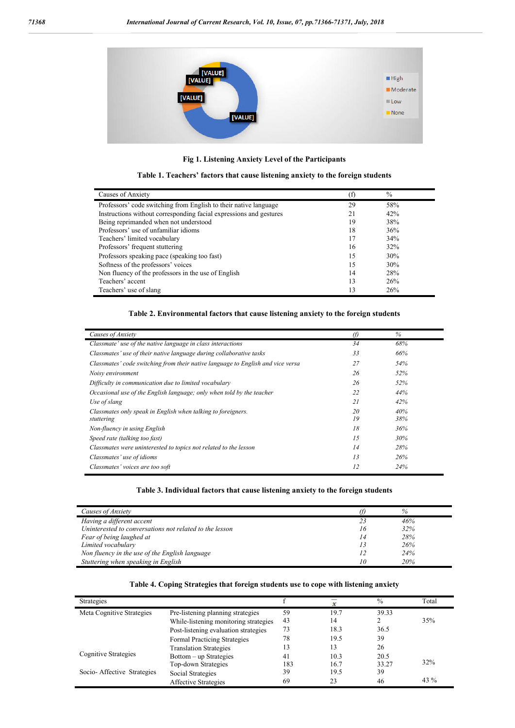

**Fig 1. Listening Anxiety Level of the Participants**

|  | Table 1. Teachers' factors that cause listening anxiety to the foreign students |  |  |  |
|--|---------------------------------------------------------------------------------|--|--|--|
|  |                                                                                 |  |  |  |

| Causes of Anxiety                                                  | (f | $\frac{0}{0}$ |  |
|--------------------------------------------------------------------|----|---------------|--|
| Professors' code switching from English to their native language   | 29 | 58%           |  |
| Instructions without corresponding facial expressions and gestures | 21 | 42%           |  |
| Being reprimanded when not understood                              | 19 | 38%           |  |
| Professors' use of unfamiliar idioms                               | 18 | 36%           |  |
| Teachers' limited vocabulary                                       | 17 | 34%           |  |
| Professors' frequent stuttering                                    | 16 | 32%           |  |
| Professors speaking pace (speaking too fast)                       | 15 | 30%           |  |
| Softness of the professors' voices                                 | 15 | 30%           |  |
| Non fluency of the professors in the use of English                | 14 | 28%           |  |
| Teachers' accent                                                   | 13 | 26%           |  |
| Teachers' use of slang                                             | 13 | 26%           |  |

## **Table 2. Environmental factors that cause listening anxiety to the foreign students**

| Causes of Anxiety                                                               | O)       | $\%$       |
|---------------------------------------------------------------------------------|----------|------------|
| Classmate' use of the native language in class interactions                     | 34       | 68%        |
| Classmates' use of their native language during collaborative tasks             | 33       | 66%        |
| Classmates' code switching from their native language to English and vice versa | 27       | 54%        |
| Noisy environment                                                               | 26       | 52%        |
| Difficulty in communication due to limited vocabulary                           | 26       | 52%        |
| Occasional use of the English language; only when told by the teacher           | 22       | 44%        |
| Use of slang                                                                    | 21       | 42%        |
| Classmates only speak in English when talking to foreigners.<br>stuttering      | 20<br>19 | 40%<br>38% |
| Non-fluency in using English                                                    | 18       | 36%        |
| Speed rate (talking too fast)                                                   | 1.5      | 30%        |
| Classmates were uninterested to topics not related to the lesson                | 14       | 28%        |
| Classmates' use of idioms                                                       | 13       | 26%        |
| Classmates' voices are too soft                                                 | 12       | 24%        |

### **Table 3. Individual factors that cause listening anxiety to the foreign students**

| Causes of Anxiety                                       |    | %   |  |
|---------------------------------------------------------|----|-----|--|
| Having a different accent                               |    | 46% |  |
| Uninterested to conversations not related to the lesson | 16 | 32% |  |
| Fear of being laughed at                                | 14 | 28% |  |
| Limited vocabulary                                      |    | 26% |  |
| Non fluency in the use of the English language          |    | 24% |  |
| Stuttering when speaking in English                     |    | 20% |  |

#### **Table 4. Coping Strategies that foreign students use to cope with listening anxiety**

| <b>Strategies</b>          |                                       |     |      | $\frac{0}{0}$ | Total |
|----------------------------|---------------------------------------|-----|------|---------------|-------|
| Meta Cognitive Strategies  | Pre-listening planning strategies     | 59  | 19.7 | 39.33         |       |
|                            | While-listening monitoring strategies | 43  | 14   |               | 35%   |
|                            | Post-listening evaluation strategies  | 73  | 18.3 | 36.5          |       |
|                            | <b>Formal Practicing Strategies</b>   | 78  | 19.5 | 39            |       |
|                            | <b>Translation Strategies</b>         | 13  | 13   | 26            |       |
| Cognitive Strategies       | Bottom – up Strategies                | 41  | 10.3 | 20.5          |       |
|                            | Top-down Strategies                   | 183 | 16.7 | 33.27         | 32%   |
| Socio-Affective Strategies | Social Strategies                     | 39  | 19.5 | 39            |       |
|                            | Affective Strategies                  | 69  | 23   | 46            | 43 %  |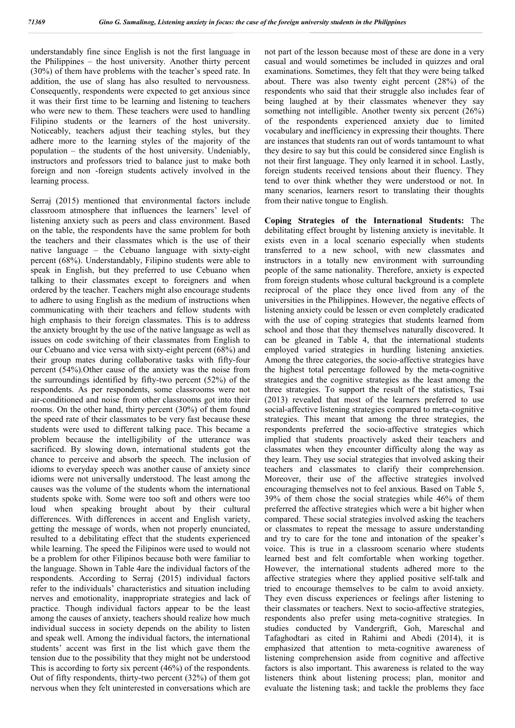understandably fine since English is not the first language in the Philippines – the host university. Another thirty percent (30%) of them have problems with the teacher's speed rate. In addition, the use of slang has also resulted to nervousness. Consequently, respondents were expected to get anxious since it was their first time to be learning and listening to teachers who were new to them. These teachers were used to handling Filipino students or the learners of the host university. Noticeably, teachers adjust their teaching styles, but they adhere more to the learning styles of the majority of the population – the students of the host university. Undeniably, instructors and professors tried to balance just to make both foreign and non -foreign students actively involved in the learning process.

Serraj (2015) mentioned that environmental factors include classroom atmosphere that influences the learners' level of listening anxiety such as peers and class environment. Based on the table, the respondents have the same problem for both the teachers and their classmates which is the use of their native language – the Cebuano language with sixty-eight percent (68%). Understandably, Filipino students were able to speak in English, but they preferred to use Cebuano when talking to their classmates except to foreigners and when ordered by the teacher. Teachers might also encourage students to adhere to using English as the medium of instructions when communicating with their teachers and fellow students with high emphasis to their foreign classmates. This is to address the anxiety brought by the use of the native language as well as issues on code switching of their classmates from English to our Cebuano and vice versa with sixty-eight percent (68%) and their group mates during collaborative tasks with fifty-four percent (54%).Other cause of the anxiety was the noise from the surroundings identified by fifty-two percent (52%) of the respondents. As per respondents, some classrooms were not air-conditioned and noise from other classrooms got into their rooms. On the other hand, thirty percent (30%) of them found the speed rate of their classmates to be very fast because these students were used to different talking pace. This became a problem because the intelligibility of the utterance was sacrificed. By slowing down, international students got the chance to perceive and absorb the speech. The inclusion of idioms to everyday speech was another cause of anxiety since idioms were not universally understood. The least among the causes was the volume of the students whom the international students spoke with. Some were too soft and others were too loud when speaking brought about by their cultural differences. With differences in accent and English variety, getting the message of words, when not properly enunciated, resulted to a debilitating effect that the students experienced while learning. The speed the Filipinos were used to would not be a problem for other Filipinos because both were familiar to the language. Shown in Table 4are the individual factors of the respondents. According to Serraj (2015) individual factors refer to the individuals' characteristics and situation including nerves and emotionality, inappropriate strategies and lack of practice. Though individual factors appear to be the least among the causes of anxiety, teachers should realize how much individual success in society depends on the ability to listen and speak well. Among the individual factors, the international students' accent was first in the list which gave them the tension due to the possibility that they might not be understood This is according to forty six percent (46%) of the respondents. Out of fifty respondents, thirty-two percent (32%) of them got nervous when they felt uninterested in conversations which are

not part of the lesson because most of these are done in a very casual and would sometimes be included in quizzes and oral examinations. Sometimes, they felt that they were being talked about. There was also twenty eight percent (28%) of the respondents who said that their struggle also includes fear of being laughed at by their classmates whenever they say something not intelligible. Another twenty six percent (26%) of the respondents experienced anxiety due to limited vocabulary and inefficiency in expressing their thoughts. There are instances that students ran out of words tantamount to what they desire to say but this could be considered since English is not their first language. They only learned it in school. Lastly, foreign students received tensions about their fluency. They tend to over think whether they were understood or not. In many scenarios, learners resort to translating their thoughts from their native tongue to English.

**Coping Strategies of the International Students:** The debilitating effect brought by listening anxiety is inevitable. It exists even in a local scenario especially when students transferred to a new school, with new classmates and instructors in a totally new environment with surrounding people of the same nationality. Therefore, anxiety is expected from foreign students whose cultural background is a complete reciprocal of the place they once lived from any of the universities in the Philippines. However, the negative effects of listening anxiety could be lessen or even completely eradicated with the use of coping strategies that students learned from school and those that they themselves naturally discovered. It can be gleaned in Table 4, that the international students employed varied strategies in hurdling listening anxieties. Among the three categories, the socio-affective strategies have the highest total percentage followed by the meta-cognitive strategies and the cognitive strategies as the least among the three strategies. To support the result of the statistics, Tsai (2013) revealed that most of the learners preferred to use social-affective listening strategies compared to meta-cognitive strategies. This meant that among the three strategies, the respondents preferred the socio-affective strategies which implied that students proactively asked their teachers and classmates when they encounter difficulty along the way as they learn. They use social strategies that involved asking their teachers and classmates to clarify their comprehension. Moreover, their use of the affective strategies involved encouraging themselves not to feel anxious. Based on Table 5, 39% of them chose the social strategies while 46% of them preferred the affective strategies which were a bit higher when compared. These social strategies involved asking the teachers or classmates to repeat the message to assure understanding and try to care for the tone and intonation of the speaker's voice. This is true in a classroom scenario where students learned best and felt comfortable when working together. However, the international students adhered more to the affective strategies where they applied positive self-talk and tried to encourage themselves to be calm to avoid anxiety. They even discuss experiences or feelings after listening to their classmates or teachers. Next to socio-affective strategies, respondents also prefer using meta-cognitive strategies. In studies conducted by Vandergrift, Goh, Mareschal and Tafaghodtari as cited in Rahimi and Abedi (2014), it is emphasized that attention to meta-cognitive awareness of listening comprehension aside from cognitive and affective factors is also important. This awareness is related to the way listeners think about listening process; plan, monitor and evaluate the listening task; and tackle the problems they face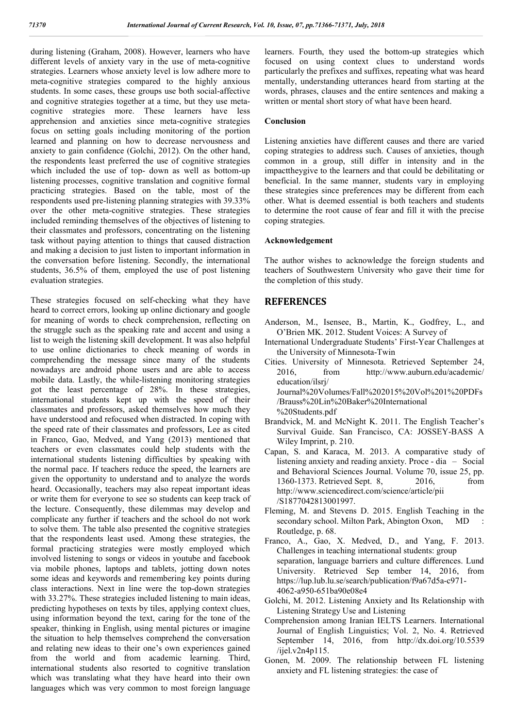during listening (Graham, 2008). However, learners who have different levels of anxiety vary in the use of meta-cognitive strategies. Learners whose anxiety level is low adhere more to meta-cognitive strategies compared to the highly anxious students. In some cases, these groups use both social-affective and cognitive strategies together at a time, but they use metacognitive strategies more. These learners have less apprehension and anxieties since meta-cognitive strategies focus on setting goals including monitoring of the portion learned and planning on how to decrease nervousness and anxiety to gain confidence (Golchi, 2012). On the other hand, the respondents least preferred the use of cognitive strategies which included the use of top- down as well as bottom-up listening processes, cognitive translation and cognitive formal practicing strategies. Based on the table, most of the respondents used pre-listening planning strategies with 39.33% over the other meta-cognitive strategies. These strategies included reminding themselves of the objectives of listening to their classmates and professors, concentrating on the listening task without paying attention to things that caused distraction and making a decision to just listen to important information in the conversation before listening. Secondly, the international students, 36.5% of them, employed the use of post listening evaluation strategies.

These strategies focused on self-checking what they have heard to correct errors, looking up online dictionary and google for meaning of words to check comprehension, reflecting on the struggle such as the speaking rate and accent and using a list to weigh the listening skill development. It was also helpful to use online dictionaries to check meaning of words in comprehending the message since many of the students nowadays are android phone users and are able to access mobile data. Lastly, the while-listening monitoring strategies got the least percentage of 28%. In these strategies, international students kept up with the speed of their classmates and professors, asked themselves how much they have understood and refocused when distracted. In coping with the speed rate of their classmates and professors, Lee as cited in Franco, Gao, Medved, and Yang (2013) mentioned that teachers or even classmates could help students with the international students listening difficulties by speaking with the normal pace. If teachers reduce the speed, the learners are given the opportunity to understand and to analyze the words heard. Occasionally, teachers may also repeat important ideas or write them for everyone to see so students can keep track of the lecture. Consequently, these dilemmas may develop and complicate any further if teachers and the school do not work to solve them. The table also presented the cognitive strategies that the respondents least used. Among these strategies, the formal practicing strategies were mostly employed which involved listening to songs or videos in youtube and facebook via mobile phones, laptops and tablets, jotting down notes some ideas and keywords and remembering key points during class interactions. Next in line were the top-down strategies with 33.27%. These strategies included listening to main ideas, predicting hypotheses on texts by tiles, applying context clues, using information beyond the text, caring for the tone of the speaker, thinking in English, using mental pictures or imagine the situation to help themselves comprehend the conversation and relating new ideas to their one's own experiences gained from the world and from academic learning. Third, international students also resorted to cognitive translation which was translating what they have heard into their own languages which was very common to most foreign language

learners. Fourth, they used the bottom-up strategies which focused on using context clues to understand words particularly the prefixes and suffixes, repeating what was heard mentally, understanding utterances heard from starting at the words, phrases, clauses and the entire sentences and making a written or mental short story of what have been heard.

#### **Conclusion**

Listening anxieties have different causes and there are varied coping strategies to address such. Causes of anxieties, though common in a group, still differ in intensity and in the impacttheygive to the learners and that could be debilitating or beneficial. In the same manner, students vary in employing these strategies since preferences may be different from each other. What is deemed essential is both teachers and students to determine the root cause of fear and fill it with the precise coping strategies.

## **Acknowledgement**

The author wishes to acknowledge the foreign students and teachers of Southwestern University who gave their time for the completion of this study.

# **REFERENCES**

- Anderson, M., Isensee, B., Martin, K., Godfrey, L., and O'Brien MK. 2012. Student Voices: A Survey of
- International Undergraduate Students' First-Year Challenges at the University of Minnesota-Twin
- Cities. University of Minnesota. Retrieved September 24, 2016, from http://www.auburn.edu/academic/ education/ilsrj/ Journal%20Volumes/Fall%202015%20Vol%201%20PDFs /Brauss%20Lin%20Baker%20International %20Students.pdf
- Brandvick, M. and McNight K. 2011. The English Teacher's Survival Guide. San Francisco, CA: JOSSEY-BASS A Wiley Imprint, p. 210.
- Capan, S. and Karaca, M. 2013. A comparative study of listening anxiety and reading anxiety. Proce - dia – Social and Behavioral Sciences Journal. Volume 70, issue 25, pp. 1360-1373. Retrieved Sept. 8, 2016, from http://www.sciencedirect.com/science/article/pii /S1877042813001997.
- Fleming, M. and Stevens D. 2015. English Teaching in the secondary school. Milton Park, Abington Oxon, MD Routledge, p. 68.
- Franco, A., Gao, X. Medved, D., and Yang, F. 2013. Challenges in teaching international students: group separation, language barriers and culture differences. Lund University. Retrieved Sep tember 14, 2016, from https://lup.lub.lu.se/search/publication/f9a67d5a-c971- 4062-a950-651ba90e08e4
- Golchi, M. 2012. Listening Anxiety and Its Relationship with Listening Strategy Use and Listening
- Comprehension among Iranian IELTS Learners. International Journal of English Linguistics; Vol. 2, No. 4. Retrieved September 14, 2016, from http://dx.doi.org/10.5539 /ijel.v2n4p115.
- Gonen, M. 2009. The relationship between FL listening anxiety and FL listening strategies: the case of